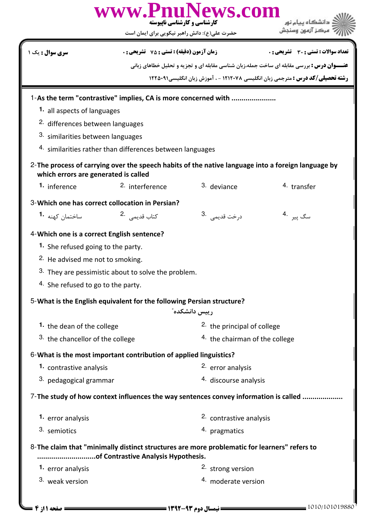|                                             | www.PnuNews.com<br>کارشناسی و کارشناسی ناپیوسته<br>حضرت علی(ع): دانش راهبر نیکویی برای ایمان است                                    |                                           | مركز آزمون وسنجش                                                                                  |  |
|---------------------------------------------|-------------------------------------------------------------------------------------------------------------------------------------|-------------------------------------------|---------------------------------------------------------------------------------------------------|--|
| <b>سری سوال :</b> یک ۱                      | <b>زمان آزمون (دقیقه) : تستی : 75 ٪ تشریحی : 0</b>                                                                                  |                                           | <b>تعداد سوالات : تستی : 30 ٪ تشریحی : 0</b>                                                      |  |
|                                             |                                                                                                                                     |                                           | <b>عنـــوان درس :</b> بررسی مقابله ای ساخت جمله،زبان شناسی مقابله ای و تجزیه و تحلیل خطاهای زبانی |  |
|                                             |                                                                                                                                     |                                           | <b>رشته تحصیلی/کد درس :</b> مترجمی زبان انگلیسی ۱۲۱۲۰۷۸ - ، آموزش زبان انگلیسی1۲۲۵۰۹۱             |  |
|                                             | 1-As the term "contrastive" implies, CA is more concerned with                                                                      |                                           |                                                                                                   |  |
| 1. all aspects of languages                 |                                                                                                                                     |                                           |                                                                                                   |  |
| <sup>2.</sup> differences between languages |                                                                                                                                     |                                           |                                                                                                   |  |
| 3. similarities between languages           |                                                                                                                                     |                                           |                                                                                                   |  |
|                                             | 4. similarities rather than differences between languages                                                                           |                                           |                                                                                                   |  |
| which errors are generated is called        | 2-The process of carrying over the speech habits of the native language into a foreign language by                                  |                                           |                                                                                                   |  |
| 1. inference                                | 2. interference                                                                                                                     | 3. deviance                               | 4. transfer                                                                                       |  |
|                                             | 3-Which one has correct collocation in Persian?                                                                                     |                                           |                                                                                                   |  |
| ساختمان کهنه <b>1</b> ۰                     | كتاب قديمي .2                                                                                                                       | درخت قديمي <sup>.3</sup>                  | سگ پیر <sup>.4</sup>                                                                              |  |
| 4-Which one is a correct English sentence?  |                                                                                                                                     |                                           |                                                                                                   |  |
| 1. She refused going to the party.          |                                                                                                                                     |                                           |                                                                                                   |  |
| <sup>2.</sup> He advised me not to smoking. |                                                                                                                                     |                                           |                                                                                                   |  |
|                                             | 3. They are pessimistic about to solve the problem.                                                                                 |                                           |                                                                                                   |  |
| 4. She refused to go to the party.          |                                                                                                                                     |                                           |                                                                                                   |  |
|                                             |                                                                                                                                     |                                           |                                                                                                   |  |
|                                             | 5-What is the English equivalent for the following Persian structure?                                                               | رییس دانشکده"                             |                                                                                                   |  |
| 1. the dean of the college                  |                                                                                                                                     | <sup>2</sup> the principal of college     |                                                                                                   |  |
| 3. the chancellor of the college            |                                                                                                                                     | <sup>4.</sup> the chairman of the college |                                                                                                   |  |
|                                             | 6-What is the most important contribution of applied linguistics?                                                                   |                                           |                                                                                                   |  |
| 1. contrastive analysis                     |                                                                                                                                     | <sup>2.</sup> error analysis              |                                                                                                   |  |
| 3. pedagogical grammar                      |                                                                                                                                     | 4. discourse analysis                     |                                                                                                   |  |
|                                             |                                                                                                                                     |                                           |                                                                                                   |  |
|                                             | 7-The study of how context influences the way sentences convey information is called                                                |                                           |                                                                                                   |  |
| 1. error analysis                           |                                                                                                                                     | 2. contrastive analysis                   |                                                                                                   |  |
| 3. semiotics                                |                                                                                                                                     | 4. pragmatics                             |                                                                                                   |  |
|                                             | 8-The claim that "minimally distinct structures are more problematic for learners" refers to<br>of Contrastive Analysis Hypothesis. |                                           |                                                                                                   |  |
| 1. error analysis                           |                                                                                                                                     | 2. strong version                         |                                                                                                   |  |
| 3. weak version                             |                                                                                                                                     | 4. moderate version                       |                                                                                                   |  |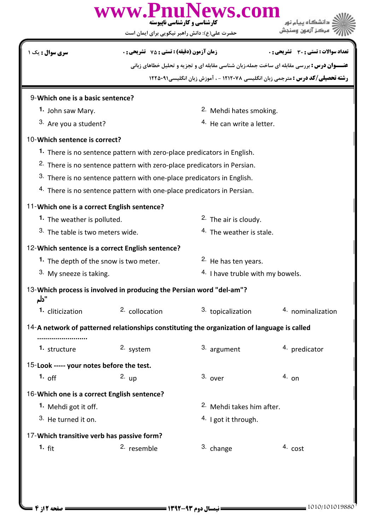|                                                                                                 | www.PnuNews.com<br><b>کارشناسی و کارشناسی ناییوسته</b><br>حضرت علی(ع): دانش راهبر نیکویی برای ایمان است |                                             |                                                                                                   |  |  |  |
|-------------------------------------------------------------------------------------------------|---------------------------------------------------------------------------------------------------------|---------------------------------------------|---------------------------------------------------------------------------------------------------|--|--|--|
| <b>سری سوال :</b> یک ۱                                                                          | <b>زمان آزمون (دقیقه) : تستی : 75 ٪ تشریحی : 0</b>                                                      |                                             | <b>تعداد سوالات : تستي : 30 ٪ تشريحي : 0</b>                                                      |  |  |  |
|                                                                                                 |                                                                                                         |                                             | <b>عنـــوان درس :</b> بررسی مقابله ای ساخت جمله،زبان شناسی مقابله ای و تجزیه و تحلیل خطاهای زبانی |  |  |  |
|                                                                                                 |                                                                                                         |                                             | <b>رشته تحصیلی/کد درس :</b> مترجمی زبان انگلیسی ۱۲۱۲۰۷۸ - ، آموزش زبان انگلیسی1۲۵۰۹۱              |  |  |  |
| 9-Which one is a basic sentence?                                                                |                                                                                                         |                                             |                                                                                                   |  |  |  |
| 1. John saw Mary.                                                                               |                                                                                                         |                                             | 2. Mehdi hates smoking.                                                                           |  |  |  |
| 3. Are you a student?                                                                           |                                                                                                         |                                             | <sup>4.</sup> He can write a letter.                                                              |  |  |  |
| 10-Which sentence is correct?                                                                   |                                                                                                         |                                             |                                                                                                   |  |  |  |
|                                                                                                 | 1. There is no sentence pattern with zero-place predicators in English.                                 |                                             |                                                                                                   |  |  |  |
|                                                                                                 | <sup>2.</sup> There is no sentence pattern with zero-place predicators in Persian.                      |                                             |                                                                                                   |  |  |  |
|                                                                                                 | 3. There is no sentence pattern with one-place predicators in English.                                  |                                             |                                                                                                   |  |  |  |
|                                                                                                 | 4. There is no sentence pattern with one-place predicators in Persian.                                  |                                             |                                                                                                   |  |  |  |
| 11-Which one is a correct English sentence?                                                     |                                                                                                         |                                             |                                                                                                   |  |  |  |
|                                                                                                 | 1. The weather is polluted.                                                                             |                                             | <sup>2.</sup> The air is cloudy.                                                                  |  |  |  |
| 3. The table is two meters wide.                                                                |                                                                                                         | <sup>4.</sup> The weather is stale.         |                                                                                                   |  |  |  |
|                                                                                                 | 12-Which sentence is a correct English sentence?                                                        |                                             |                                                                                                   |  |  |  |
| 1. The depth of the snow is two meter.                                                          |                                                                                                         | <sup>2.</sup> He has ten years.             |                                                                                                   |  |  |  |
| 3. My sneeze is taking.                                                                         |                                                                                                         | <sup>4.</sup> I have truble with my bowels. |                                                                                                   |  |  |  |
| 13-Which process is involved in producing the Persian word "del-am"?<br>"دلم                    |                                                                                                         |                                             |                                                                                                   |  |  |  |
| 1. cliticization                                                                                | 2. collocation                                                                                          | 3. topicalization                           | 4. nominalization                                                                                 |  |  |  |
| 14-A network of patterned relationships constituting the organization of language is called<br> |                                                                                                         |                                             |                                                                                                   |  |  |  |
| 1. structure                                                                                    | 2. system                                                                                               | 3. argument                                 | 4. predicator                                                                                     |  |  |  |
| 15-Look ----- your notes before the test.                                                       |                                                                                                         |                                             |                                                                                                   |  |  |  |
| 1. off                                                                                          | $2.$ up                                                                                                 | $3.$ over                                   | $4.$ on                                                                                           |  |  |  |
| 16-Which one is a correct English sentence?                                                     |                                                                                                         |                                             |                                                                                                   |  |  |  |
| 1. Mehdi got it off.                                                                            |                                                                                                         | <sup>2.</sup> Mehdi takes him after.        |                                                                                                   |  |  |  |
| 3. He turned it on.                                                                             |                                                                                                         | $4.$ I got it through.                      |                                                                                                   |  |  |  |
| 17-Which transitive verb has passive form?                                                      |                                                                                                         |                                             |                                                                                                   |  |  |  |
| 1. $fit$                                                                                        | <sup>2.</sup> resemble                                                                                  | 3. change                                   | $4. \text{cost}$                                                                                  |  |  |  |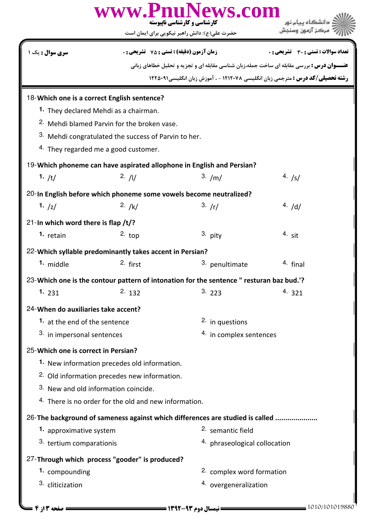|                                                                               | www.PnuNews.com<br>کارشناسی و کارشناسی ناپیوسته<br>حضرت علی(ع): دانش راهبر نیکویی برای ایمان است |                               |                                                                                                   |  |  |
|-------------------------------------------------------------------------------|--------------------------------------------------------------------------------------------------|-------------------------------|---------------------------------------------------------------------------------------------------|--|--|
| <b>سری سوال :</b> یک ۱                                                        | <b>زمان آزمون (دقیقه) : تستی : 75 ٪ تشریحی : 0</b>                                               |                               | <b>تعداد سوالات : تستي : 30 ٪ تشريحي : 0</b>                                                      |  |  |
|                                                                               |                                                                                                  |                               | <b>عنـــوان درس :</b> بررسی مقابله ای ساخت جمله،زبان شناسی مقابله ای و تجزیه و تحلیل خطاهای زبانی |  |  |
|                                                                               |                                                                                                  |                               | <b>رشته تحصیلی/کد درس :</b> مترجمی زبان انگلیسی ۱۲۱۲۰۷۸ - ، آموزش زبان انگلیسی1۲۵۰۹۱              |  |  |
| 18-Which one is a correct English sentence?                                   |                                                                                                  |                               |                                                                                                   |  |  |
| 1. They declared Mehdi as a chairman.                                         |                                                                                                  |                               |                                                                                                   |  |  |
|                                                                               | <sup>2.</sup> Mehdi blamed Parvin for the broken vase.                                           |                               |                                                                                                   |  |  |
|                                                                               | <sup>3.</sup> Mehdi congratulated the success of Parvin to her.                                  |                               |                                                                                                   |  |  |
| 4. They regarded me a good customer.                                          |                                                                                                  |                               |                                                                                                   |  |  |
|                                                                               | 19-Which phoneme can have aspirated allophone in English and Persian?                            |                               |                                                                                                   |  |  |
| 1. $/t/$                                                                      | 2. /1/                                                                                           | 3. /m/                        | 4. $/s/$                                                                                          |  |  |
|                                                                               | 20-In English before which phoneme some vowels become neutralized?                               |                               |                                                                                                   |  |  |
| 1. $ z $                                                                      | 2. $/k/$                                                                                         | 3. /r/                        | 4. $/d/$                                                                                          |  |  |
| 21-In which word there is flap $/t$ ?                                         |                                                                                                  |                               |                                                                                                   |  |  |
| 1. retain                                                                     | $2.$ top                                                                                         | 3. pity                       | $4.$ sit                                                                                          |  |  |
|                                                                               | 22-Which syllable predominantly takes accent in Persian?                                         |                               |                                                                                                   |  |  |
| 1. middle                                                                     | 2. first                                                                                         | 3.<br>penultimate             | <sup>4</sup> final                                                                                |  |  |
|                                                                               |                                                                                                  |                               |                                                                                                   |  |  |
|                                                                               | 23-Which one is the contour pattern of intonation for the sentence " resturan baz bud.'?         |                               |                                                                                                   |  |  |
| 1.231                                                                         | 2.132                                                                                            | 3.223                         | 4.321                                                                                             |  |  |
| 24-When do auxiliaries take accent?                                           |                                                                                                  |                               |                                                                                                   |  |  |
| 1. at the end of the sentence                                                 |                                                                                                  | <sup>2.</sup> in questions    |                                                                                                   |  |  |
| 3. in impersonal sentences<br>4. in complex sentences                         |                                                                                                  |                               |                                                                                                   |  |  |
| 25-Which one is correct in Persian?                                           |                                                                                                  |                               |                                                                                                   |  |  |
|                                                                               | 1. New information precedes old information.                                                     |                               |                                                                                                   |  |  |
| <sup>2.</sup> Old information precedes new information.                       |                                                                                                  |                               |                                                                                                   |  |  |
| 3. New and old information coincide.                                          |                                                                                                  |                               |                                                                                                   |  |  |
| 4. There is no order for the old and new information.                         |                                                                                                  |                               |                                                                                                   |  |  |
| 26-The background of sameness against which differences are studied is called |                                                                                                  |                               |                                                                                                   |  |  |
| 1. approximative system                                                       |                                                                                                  | <sup>2.</sup> semantic field  |                                                                                                   |  |  |
| 3. tertium comparationis                                                      |                                                                                                  | 4. phraseological collocation |                                                                                                   |  |  |
|                                                                               | 27-Through which process "gooder" is produced?                                                   |                               |                                                                                                   |  |  |
| 1. compounding                                                                |                                                                                                  | 2. complex word formation     |                                                                                                   |  |  |
| 3. cliticization                                                              |                                                                                                  | 4. overgeneralization         |                                                                                                   |  |  |
|                                                                               |                                                                                                  |                               |                                                                                                   |  |  |